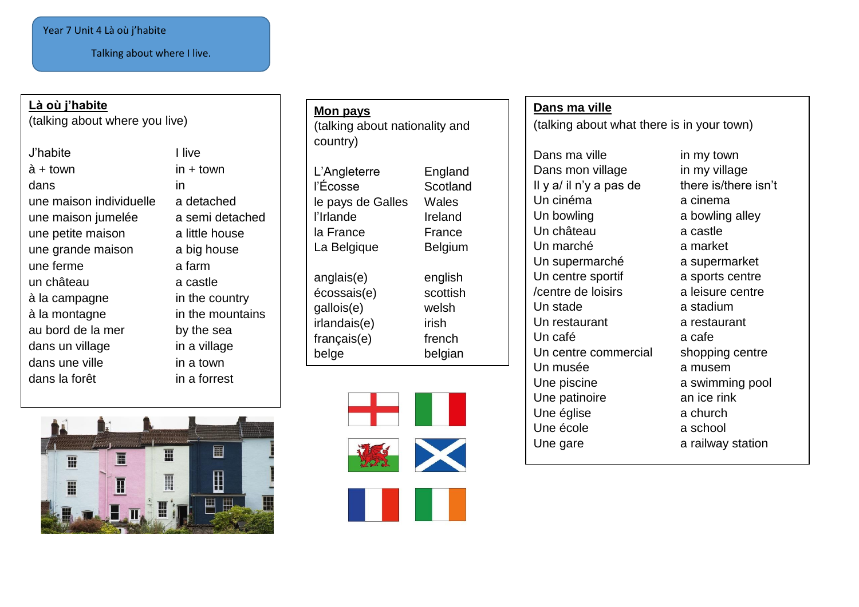### Year 7 Unit 4 Là où j'habite

Talking about where I live.

## **Là où j'habite**

(talking about where you live)

- J'habite I live  $\dot{a}$  + town in + town dans in une maison individuelle a detached une maison jumelée a semi detached une petite maison a little house une grande maison a big house une ferme a farm un château a castle à la campagne in the country à la montagne in the mountains au bord de la mer by the sea dans un village in a village dans une ville in a town dans la forêt in a forrest
- 



# **Mon pays** (talking about nationality and country)

L'Angleterre England l'Écosse Scotland le pays de Galles Wales l'Irlande Ireland la France France La Belgique Belgium anglais(e) english écossais(e) scottish gallois(e) welsh irlandais(e) irish français(e) french belge belgian





### **Dans ma ville**

(talking about what there is in your town)

Dans ma ville in my town Dans mon village in my village Il y  $a/$  il n'y a pas de there is/there isn't Un cinéma a cinema Un bowling a bowling alley Un château a castle Un marché a market Un supermarché a supermarket Un centre sportif a sports centre /centre de loisirs a leisure centre Un stade a stadium Un restaurant a restaurant Un café a cafe Un centre commercial shopping centre Un musée a musem Une piscine a swimming pool Une patinoire **an** ice rink Une église **a** church Une école **a** school Une gare **a** railway station